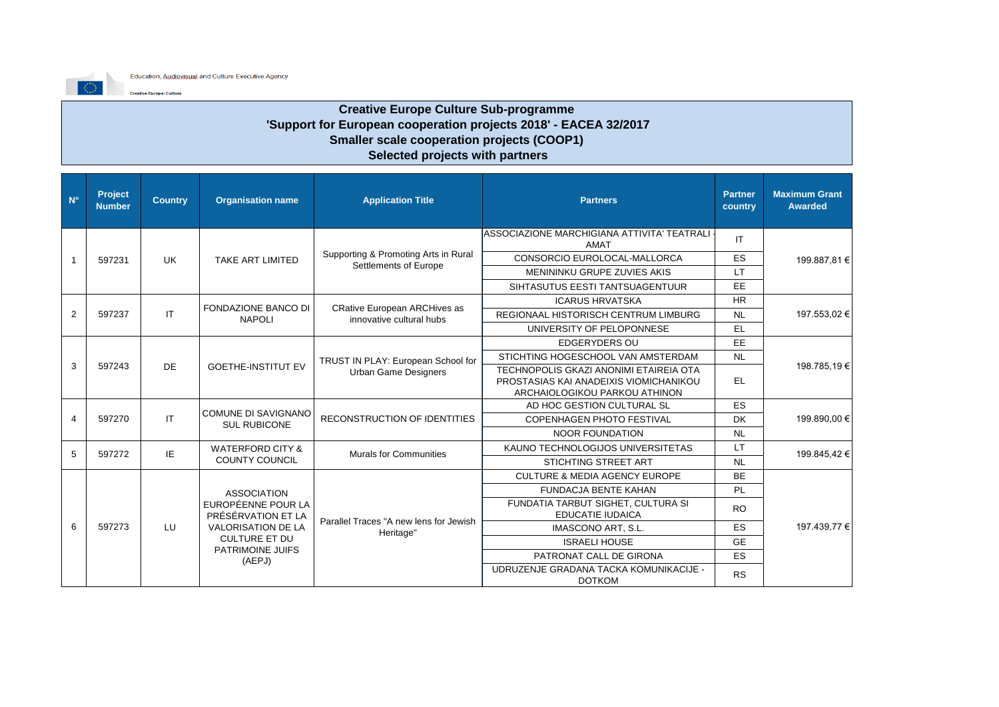

## **Creative Europe Culture Sub-programme 'Support for European cooperation projects 2018' - EACEA 32/2017 Smaller scale cooperation projects (COOP1) Selected projects with partners**

| $N^{\circ}$    | Project<br><b>Number</b> | <b>Country</b> | <b>Organisation name</b>                          | <b>Application Title</b>                                        | <b>Partners</b>                                                                                                   | Partner<br>country | <b>Maximum Grant</b><br><b>Awarded</b> |           |  |
|----------------|--------------------------|----------------|---------------------------------------------------|-----------------------------------------------------------------|-------------------------------------------------------------------------------------------------------------------|--------------------|----------------------------------------|-----------|--|
|                |                          |                |                                                   |                                                                 | ASSOCIAZIONE MARCHIGIANA ATTIVITA' TEATRALI -<br>AMAT                                                             | IT                 |                                        |           |  |
|                | 597231                   | <b>UK</b>      | <b>TAKE ART LIMITED</b>                           | Supporting & Promoting Arts in Rural                            | CONSORCIO EUROLOCAL-MALLORCA                                                                                      | <b>ES</b>          | 199.887,81 €                           |           |  |
|                |                          |                |                                                   | Settlements of Europe                                           | MENININKU GRUPE ZUVIES AKIS                                                                                       | <b>LT</b>          |                                        |           |  |
|                |                          |                |                                                   | SIHTASUTUS EESTI TANTSUAGENTUUR                                 | EE                                                                                                                |                    |                                        |           |  |
|                |                          |                |                                                   |                                                                 | <b>ICARUS HRVATSKA</b>                                                                                            | <b>HR</b>          |                                        |           |  |
| 2              | 597237                   | IT.            | <b>FONDAZIONE BANCO DI</b><br><b>NAPOLI</b>       | <b>CRative European ARCHives as</b><br>innovative cultural hubs | <b>REGIONAAL HISTORISCH CENTRUM LIMBURG</b>                                                                       | <b>NL</b>          | 197.553,02 €                           |           |  |
|                |                          |                |                                                   |                                                                 | UNIVERSITY OF PELOPONNESE                                                                                         | <b>EL</b>          |                                        |           |  |
|                |                          |                |                                                   |                                                                 | <b>EDGERYDERS OU</b>                                                                                              | EE.                |                                        |           |  |
|                |                          |                |                                                   | TRUST IN PLAY: European School for                              | STICHTING HOGESCHOOL VAN AMSTERDAM                                                                                | <b>NL</b>          |                                        |           |  |
| 3              | 597243                   | <b>DE</b>      | <b>GOETHE-INSTITUT EV</b>                         | <b>Urban Game Designers</b>                                     | TECHNOPOLIS GKAZI ANONIMI ETAIREIA OTA<br>PROSTASIAS KAI ANADEIXIS VIOMICHANIKOU<br>ARCHAIOLOGIKOU PARKOU ATHINON | <b>EL</b>          | 198.785,19€                            |           |  |
|                |                          |                |                                                   | RECONSTRUCTION OF IDENTITIES                                    | AD HOC GESTION CULTURAL SL                                                                                        | <b>ES</b>          |                                        |           |  |
| $\overline{4}$ | 597270                   | IT             | <b>COMUNE DI SAVIGNANO</b><br><b>SUL RUBICONE</b> |                                                                 | <b>COPENHAGEN PHOTO FESTIVAL</b>                                                                                  | <b>DK</b>          | 199.890.00 €                           |           |  |
|                |                          |                |                                                   |                                                                 | NOOR FOUNDATION                                                                                                   | <b>NL</b>          |                                        |           |  |
| 5              | 597272                   | IE.            | <b>WATERFORD CITY &amp;</b>                       | <b>Murals for Communities</b>                                   | KAUNO TECHNOLOGIJOS UNIVERSITETAS                                                                                 | LT.                | 199.845.42 €                           |           |  |
|                |                          |                | <b>COUNTY COUNCIL</b>                             |                                                                 | STICHTING STREET ART                                                                                              | <b>NL</b>          |                                        |           |  |
|                |                          |                |                                                   |                                                                 | CULTURE & MEDIA AGENCY EUROPE                                                                                     | <b>BE</b>          |                                        |           |  |
|                |                          |                | <b>ASSOCIATION</b>                                |                                                                 | <b>FUNDACJA BENTE KAHAN</b>                                                                                       | <b>PL</b>          |                                        |           |  |
|                |                          |                | EUROPÉENNE POUR LA<br>PRÉSÉRVATION ET LA          |                                                                 | FUNDATIA TARBUT SIGHET, CULTURA SI<br><b>EDUCATIE IUDAICA</b>                                                     | <b>RO</b>          |                                        |           |  |
| 6              | 597273                   | LU             | <b>VALORISATION DE LA</b>                         | Parallel Traces "A new lens for Jewish<br>Heritage"             | IMASCONO ART, S.L.                                                                                                | <b>ES</b>          | 197.439,77 €                           |           |  |
|                |                          |                | <b>CULTURE ET DU</b>                              |                                                                 | <b>ISRAELI HOUSE</b>                                                                                              | <b>GE</b>          |                                        |           |  |
|                |                          |                |                                                   |                                                                 | PATRIMOINE JUIFS<br>(AEPJ)                                                                                        |                    | PATRONAT CALL DE GIRONA                | <b>ES</b> |  |
|                |                          |                |                                                   |                                                                 | UDRUZENJE GRADANA TACKA KOMUNIKACIJE -<br><b>DOTKOM</b>                                                           | <b>RS</b>          |                                        |           |  |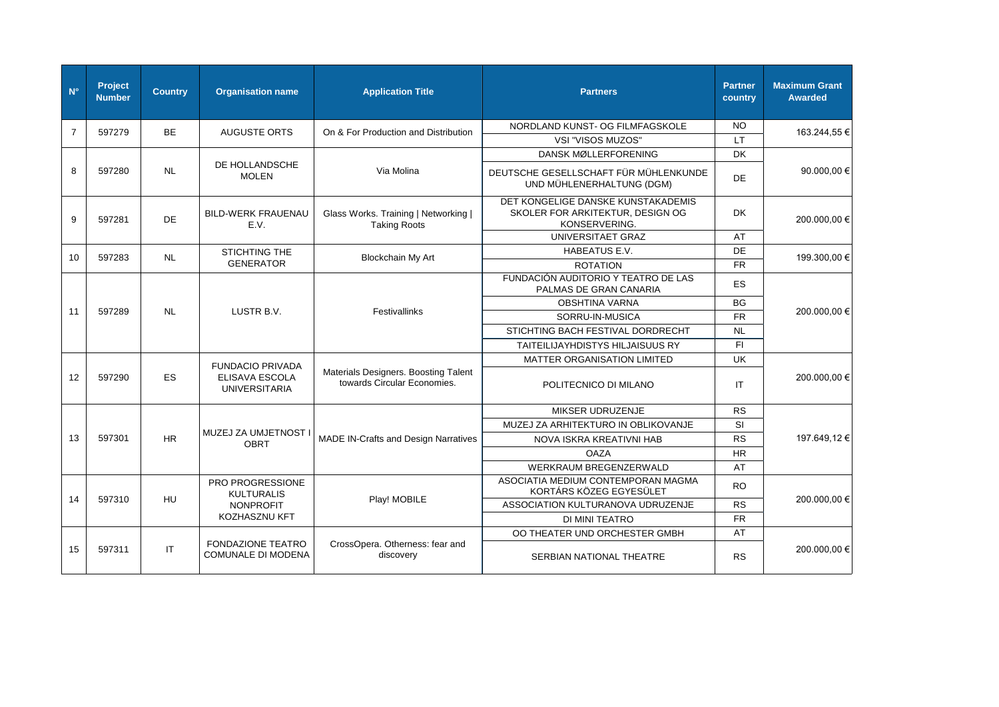| $N^{\circ}$    | Project<br><b>Number</b> | <b>Country</b> | <b>Organisation name</b>                              | <b>Application Title</b>                                            | <b>Partners</b>                                                                         | <b>Partner</b><br>country | <b>Maximum Grant</b><br><b>Awarded</b> |
|----------------|--------------------------|----------------|-------------------------------------------------------|---------------------------------------------------------------------|-----------------------------------------------------------------------------------------|---------------------------|----------------------------------------|
| $\overline{7}$ | 597279                   | <b>BE</b>      | <b>AUGUSTE ORTS</b>                                   | On & For Production and Distribution                                | NORDLAND KUNST- OG FILMFAGSKOLE                                                         | NO.                       | 163.244,55 €                           |
|                |                          |                |                                                       |                                                                     | VSI "VISOS MUZOS"                                                                       | LT.                       |                                        |
|                |                          |                |                                                       |                                                                     | DANSK MØLLERFORENING                                                                    | <b>DK</b>                 |                                        |
| 8              | 597280                   | <b>NL</b>      | DE HOLLANDSCHE<br><b>MOLEN</b>                        | Via Molina                                                          | DEUTSCHE GESELLSCHAFT FÜR MÜHLENKUNDE<br>UND MÜHLENERHALTUNG (DGM)                      | <b>DE</b>                 | 90.000,00 €                            |
| 9              | 597281                   | DE             | <b>BILD-WERK FRAUENAU</b><br>E.V.                     | Glass Works. Training   Networking  <br><b>Taking Roots</b>         | DET KONGELIGE DANSKE KUNSTAKADEMIS<br>SKOLER FOR ARKITEKTUR, DESIGN OG<br>KONSERVERING. | <b>DK</b>                 | 200.000,00 €                           |
|                |                          |                |                                                       |                                                                     | UNIVERSITAET GRAZ                                                                       | AT                        |                                        |
| 10             | 597283                   | <b>NL</b>      | <b>STICHTING THE</b>                                  | Blockchain My Art                                                   | HABEATUS E.V.                                                                           | DE                        | 199.300,00 €                           |
|                |                          |                | <b>GENERATOR</b>                                      |                                                                     | <b>ROTATION</b>                                                                         | <b>FR</b>                 |                                        |
|                |                          |                |                                                       |                                                                     | FUNDACIÓN AUDITORIO Y TEATRO DE LAS<br>PALMAS DE GRAN CANARIA                           | ES                        |                                        |
|                |                          |                |                                                       |                                                                     | <b>OBSHTINA VARNA</b>                                                                   | <b>BG</b>                 |                                        |
| 11             | 597289                   | <b>NL</b>      | LUSTR B.V.                                            | Festivallinks                                                       | SORRU-IN-MUSICA                                                                         | <b>FR</b>                 | 200.000,00 €                           |
|                |                          |                |                                                       |                                                                     | STICHTING BACH FESTIVAL DORDRECHT                                                       | <b>NL</b>                 |                                        |
|                |                          |                |                                                       |                                                                     | <b>TAITEILIJAYHDISTYS HILJAISUUS RY</b>                                                 | FI.                       |                                        |
|                |                          |                | <b>FUNDACIO PRIVADA</b>                               |                                                                     | MATTER ORGANISATION LIMITED                                                             | <b>UK</b>                 |                                        |
| 12             | 597290                   | <b>ES</b>      | ELISAVA ESCOLA<br><b>UNIVERSITARIA</b>                | Materials Designers. Boosting Talent<br>towards Circular Economies. | POLITECNICO DI MILANO                                                                   | IT                        | 200.000,00 €                           |
|                |                          |                |                                                       |                                                                     | MIKSER UDRUZENJE                                                                        | <b>RS</b>                 |                                        |
|                |                          |                |                                                       |                                                                     | MUZEJ ZA ARHITEKTURO IN OBLIKOVANJE                                                     | SI                        |                                        |
| 13             | 597301                   | <b>HR</b>      | MUZEJ ZA UMJETNOST I<br><b>OBRT</b>                   | <b>MADE IN-Crafts and Design Narratives</b>                         | NOVA ISKRA KREATIVNI HAB                                                                | <b>RS</b>                 | 197.649,12 €                           |
|                |                          |                |                                                       |                                                                     | <b>OAZA</b>                                                                             | HR                        |                                        |
|                |                          |                |                                                       |                                                                     | WERKRAUM BREGENZERWALD                                                                  | AT                        |                                        |
|                |                          |                | PRO PROGRESSIONE<br><b>KULTURALIS</b>                 |                                                                     | ASOCIATIA MEDIUM CONTEMPORAN MAGMA<br>KORTÁRS KÖZEG EGYESÜLET                           | <b>RO</b>                 |                                        |
| 14             | 597310                   | <b>HU</b>      | <b>NONPROFIT</b>                                      | Play! MOBILE                                                        | ASSOCIATION KULTURANOVA UDRUZENJE                                                       | <b>RS</b>                 | 200.000,00 €                           |
|                |                          |                | KOZHASZNU KFT                                         |                                                                     | DI MINI TEATRO                                                                          | <b>FR</b>                 |                                        |
|                |                          |                |                                                       |                                                                     | OO THEATER UND ORCHESTER GMBH                                                           | AT                        |                                        |
| 15             | 597311                   | $\mathsf{I}$   | <b>FONDAZIONE TEATRO</b><br><b>COMUNALE DI MODENA</b> | CrossOpera. Otherness: fear and<br>discovery                        | SERBIAN NATIONAL THEATRE                                                                | <b>RS</b>                 | 200.000,00 €                           |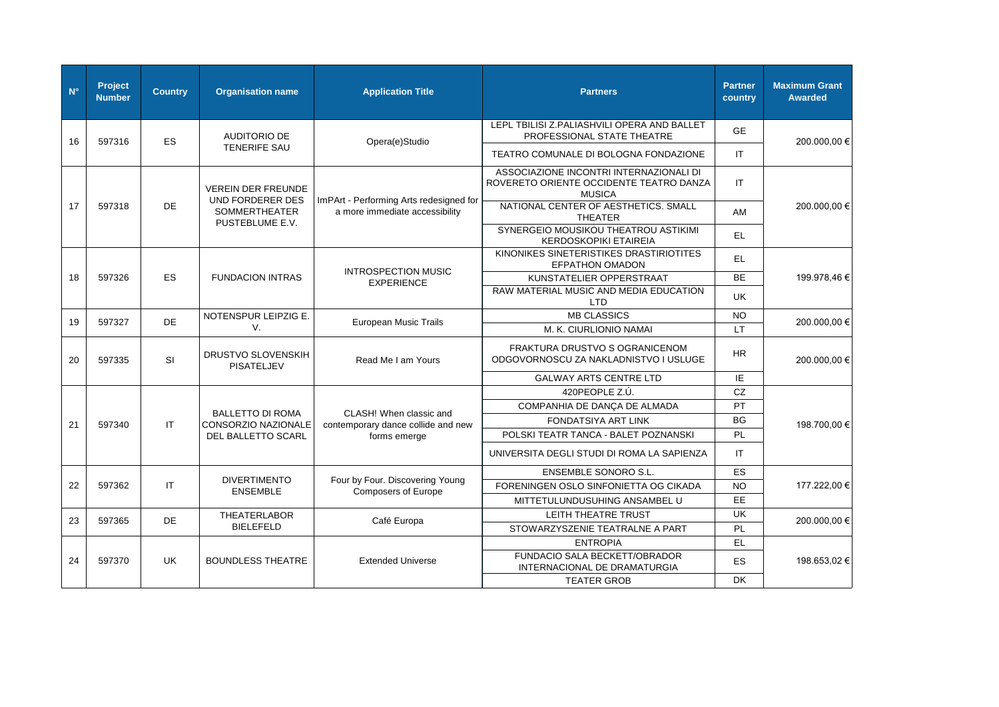| $N^{\circ}$ | Project<br><b>Number</b> | <b>Country</b> | <b>Organisation name</b>                       | <b>Application Title</b>                                                  | <b>Partners</b>                                                                                     | <b>Partner</b><br>country | <b>Maximum Grant</b><br><b>Awarded</b> |
|-------------|--------------------------|----------------|------------------------------------------------|---------------------------------------------------------------------------|-----------------------------------------------------------------------------------------------------|---------------------------|----------------------------------------|
| 16          | 597316                   | <b>ES</b>      | <b>AUDITORIO DE</b>                            | Opera(e)Studio                                                            | LEPL TBILISI Z.PALIASHVILI OPERA AND BALLET<br>PROFESSIONAL STATE THEATRE                           | <b>GE</b>                 | 200.000,00 €                           |
|             |                          |                | <b>TENERIFE SAU</b>                            |                                                                           | TEATRO COMUNALE DI BOLOGNA FONDAZIONE                                                               | IT.                       |                                        |
|             |                          |                | <b>VEREIN DER FREUNDE</b><br>UND FORDERER DES  |                                                                           | ASSOCIAZIONE INCONTRI INTERNAZIONALI DI<br>ROVERETO ORIENTE OCCIDENTE TEATRO DANZA<br><b>MUSICA</b> | IT.                       |                                        |
| 17          | 597318<br><b>DE</b>      |                | <b>SOMMERTHEATER</b><br>PUSTEBLUME E.V.        | ImPArt - Performing Arts redesigned for<br>a more immediate accessibility | NATIONAL CENTER OF AESTHETICS. SMALL<br><b>THEATER</b>                                              | AM                        | 200.000,00 €                           |
|             |                          |                |                                                | SYNERGEIO MOUSIKOU THEATROU ASTIKIMI<br><b>KERDOSKOPIKI ETAIREIA</b>      | EL.                                                                                                 |                           |                                        |
|             |                          |                |                                                |                                                                           | KINONIKES SINETERISTIKES DRASTIRIOTITES<br><b>EFPATHON OMADON</b>                                   | EL.                       |                                        |
| 18          | 597326                   | <b>ES</b>      | <b>FUNDACION INTRAS</b>                        | <b>INTROSPECTION MUSIC</b><br><b>EXPERIENCE</b>                           | KUNSTATELIER OPPERSTRAAT                                                                            | <b>BE</b>                 | 199.978,46 €                           |
|             |                          |                |                                                |                                                                           | RAW MATERIAL MUSIC AND MEDIA EDUCATION<br>LTD                                                       | UK                        |                                        |
| 19          | 597327                   | <b>DE</b>      | NOTENSPUR LEIPZIG E.                           | <b>European Music Trails</b>                                              | <b>MB CLASSICS</b>                                                                                  | NO.                       | 200.000,00 €                           |
|             |                          |                | V.                                             |                                                                           | M. K. CIURLIONIO NAMAI                                                                              | <b>LT</b>                 |                                        |
| 20          | 597335                   | <b>SI</b>      | <b>DRUSTVO SLOVENSKIH</b><br><b>PISATELJEV</b> | Read Me I am Yours                                                        | FRAKTURA DRUSTVO S OGRANICENOM<br>ODGOVORNOSCU ZA NAKLADNISTVO I USLUGE                             | <b>HR</b>                 | 200.000,00 €                           |
|             |                          |                |                                                |                                                                           | <b>GALWAY ARTS CENTRE LTD</b>                                                                       | ΙE                        |                                        |
|             |                          |                |                                                |                                                                           | 420PEOPLE Z.Ú.                                                                                      | CZ                        | 198.700,00 €                           |
|             |                          |                | <b>BALLETTO DI ROMA</b>                        | CLASH! When classic and                                                   | COMPANHIA DE DANÇA DE ALMADA                                                                        | PT                        |                                        |
| 21          | 597340                   | IT             | CONSORZIO NAZIONALE                            | contemporary dance collide and new                                        | <b>FONDATSIYA ART LINK</b>                                                                          | <b>BG</b>                 |                                        |
|             |                          |                | DEL BALLETTO SCARL                             | forms emerge                                                              | POLSKI TEATR TANCA - BALET POZNANSKI                                                                | <b>PL</b>                 |                                        |
|             |                          |                |                                                |                                                                           | UNIVERSITA DEGLI STUDI DI ROMA LA SAPIENZA                                                          | IT.                       |                                        |
|             |                          |                |                                                |                                                                           | <b>ENSEMBLE SONORO S.L.</b>                                                                         | <b>ES</b>                 |                                        |
| 22          | 597362                   | IT             | <b>DIVERTIMENTO</b><br><b>ENSEMBLE</b>         | Four by Four. Discovering Young<br><b>Composers of Europe</b>             | FORENINGEN OSLO SINFONIETTA OG CIKADA                                                               | <b>NO</b>                 | 177.222,00 €                           |
|             |                          |                |                                                |                                                                           | MITTETULUNDUSUHING ANSAMBEL U                                                                       | <b>EE</b>                 |                                        |
| 23          | 597365                   | DE             | <b>THEATERLABOR</b>                            | Café Europa                                                               | LEITH THEATRE TRUST                                                                                 | <b>UK</b>                 | 200.000,00 €                           |
|             |                          |                | <b>BIELEFELD</b>                               |                                                                           | STOWARZYSZENIE TEATRALNE A PART                                                                     | <b>PL</b>                 |                                        |
|             |                          |                |                                                |                                                                           | <b>ENTROPIA</b>                                                                                     | EL.                       |                                        |
| 24          | 597370                   | UK.            | <b>BOUNDLESS THEATRE</b>                       | <b>Extended Universe</b>                                                  | FUNDACIO SALA BECKETT/OBRADOR<br>INTERNACIONAL DE DRAMATURGIA                                       | <b>ES</b>                 | 198.653.02 €                           |
|             |                          |                |                                                |                                                                           | <b>TEATER GROB</b>                                                                                  | <b>DK</b>                 |                                        |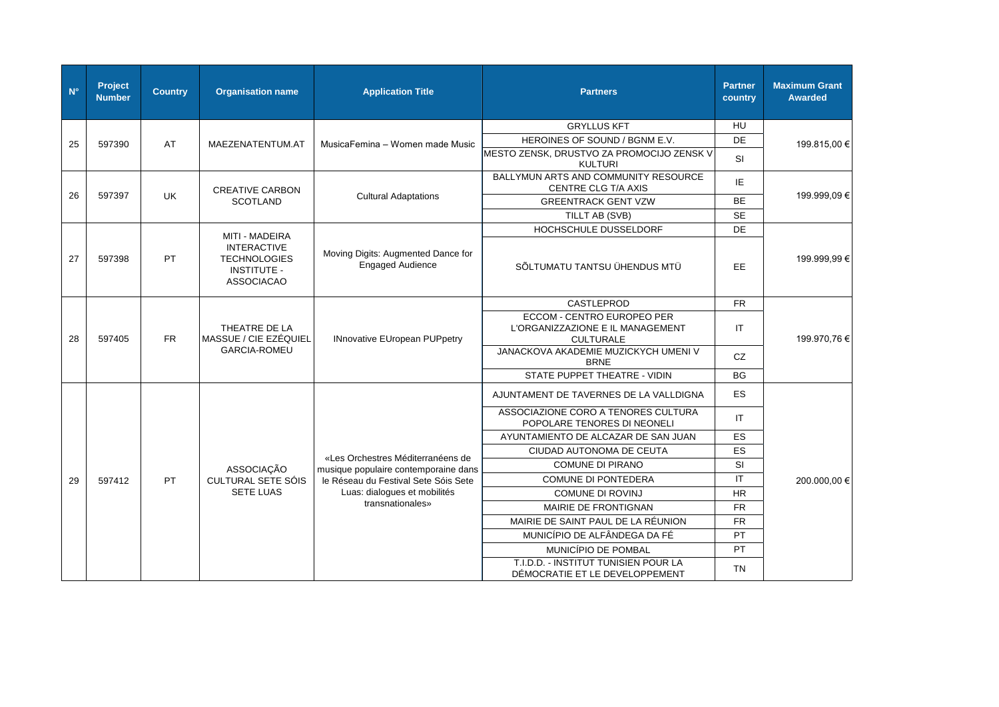| $N^{\circ}$ | Project<br><b>Number</b> | <b>Country</b> | <b>Organisation name</b>                                                                               | <b>Application Title</b>                               | <b>Partners</b>                                                                    | <b>Partner</b><br>country | <b>Maximum Grant</b><br><b>Awarded</b> |
|-------------|--------------------------|----------------|--------------------------------------------------------------------------------------------------------|--------------------------------------------------------|------------------------------------------------------------------------------------|---------------------------|----------------------------------------|
|             |                          |                |                                                                                                        |                                                        | <b>GRYLLUS KFT</b>                                                                 | <b>HU</b>                 |                                        |
| 25          | 597390                   | AT             | MAEZENATENTUM.AT                                                                                       | MusicaFemina - Women made Music                        | HEROINES OF SOUND / BGNM E.V.                                                      | DE                        | 199.815,00 €                           |
|             |                          |                |                                                                                                        |                                                        | MESTO ZENSK, DRUSTVO ZA PROMOCIJO ZENSK V<br><b>KULTURI</b>                        | SI                        |                                        |
|             |                          |                | <b>CREATIVE CARBON</b>                                                                                 |                                                        | BALLYMUN ARTS AND COMMUNITY RESOURCE<br>CENTRE CLG T/A AXIS                        | IE                        |                                        |
| 26          | 597397                   | <b>UK</b>      | <b>SCOTLAND</b>                                                                                        | <b>Cultural Adaptations</b>                            | <b>GREENTRACK GENT VZW</b>                                                         | <b>BE</b>                 | 199.999,09€                            |
|             |                          |                | TILLT AB (SVB)                                                                                         | <b>SE</b>                                              |                                                                                    |                           |                                        |
|             |                          |                |                                                                                                        |                                                        | HOCHSCHULE DUSSELDORF                                                              | DE                        |                                        |
| 27          | 597398                   | PT.            | <b>MITI - MADEIRA</b><br><b>INTERACTIVE</b><br><b>TECHNOLOGIES</b><br><b>INSTITUTE -</b><br>ASSOCIACAO | Moving Digits: Augmented Dance for<br>Engaged Audience | SÕLTUMATU TANTSU ÜHENDUS MTÜ                                                       | EE                        | 199.999,99€                            |
|             |                          |                |                                                                                                        |                                                        | CASTLEPROD                                                                         | <b>FR</b>                 |                                        |
| 28          | 597405                   | <b>FR</b>      | THEATRE DE LA<br>MASSUE / CIE EZÉQUIEL                                                                 | <b>INnovative EUropean PUPpetry</b>                    | ECCOM - CENTRO EUROPEO PER<br>L'ORGANIZZAZIONE E IL MANAGEMENT<br><b>CULTURALE</b> | IT                        | 199.970,76 €                           |
|             |                          |                | <b>GARCIA-ROMEU</b>                                                                                    |                                                        | JANACKOVA AKADEMIE MUZICKYCH UMENI V<br><b>BRNE</b>                                | CZ                        |                                        |
|             |                          |                |                                                                                                        |                                                        | STATE PUPPET THEATRE - VIDIN                                                       | <b>BG</b>                 |                                        |
|             |                          |                |                                                                                                        |                                                        | AJUNTAMENT DE TAVERNES DE LA VALLDIGNA                                             | ES                        |                                        |
|             |                          |                |                                                                                                        |                                                        | ASSOCIAZIONE CORO A TENORES CULTURA<br>POPOLARE TENORES DI NEONELI                 | $\mathsf{I}\mathsf{T}$    |                                        |
|             |                          |                |                                                                                                        |                                                        | AYUNTAMIENTO DE ALCAZAR DE SAN JUAN                                                | ES                        |                                        |
|             |                          |                |                                                                                                        | «Les Orchestres Méditerranéens de                      | CIUDAD AUTONOMA DE CEUTA                                                           | ES                        |                                        |
|             |                          |                | ASSOCIAÇÃO                                                                                             | musique populaire contemporaine dans                   | <b>COMUNE DI PIRANO</b>                                                            | SI                        |                                        |
| 29          | 597412                   | <b>PT</b>      | <b>CULTURAL SETE SÓIS</b>                                                                              | le Réseau du Festival Sete Sóis Sete                   | <b>COMUNE DI PONTEDERA</b>                                                         | IT                        | 200.000,00 €                           |
|             |                          |                | <b>SETE LUAS</b>                                                                                       | Luas: dialogues et mobilités                           | <b>COMUNE DI ROVINJ</b>                                                            | <b>HR</b>                 |                                        |
|             |                          |                |                                                                                                        | transnationales»                                       | MAIRIE DE FRONTIGNAN                                                               | <b>FR</b>                 |                                        |
|             |                          |                |                                                                                                        |                                                        | MAIRIE DE SAINT PAUL DE LA RÉUNION                                                 | <b>FR</b>                 |                                        |
|             |                          |                |                                                                                                        |                                                        | MUNICÍPIO DE ALFÂNDEGA DA FÉ                                                       | PT                        |                                        |
|             |                          |                |                                                                                                        |                                                        | MUNICÍPIO DE POMBAL                                                                | PT                        |                                        |
|             |                          |                |                                                                                                        |                                                        | T.I.D.D. - INSTITUT TUNISIEN POUR LA<br>DÉMOCRATIE ET LE DEVELOPPEMENT             | <b>TN</b>                 |                                        |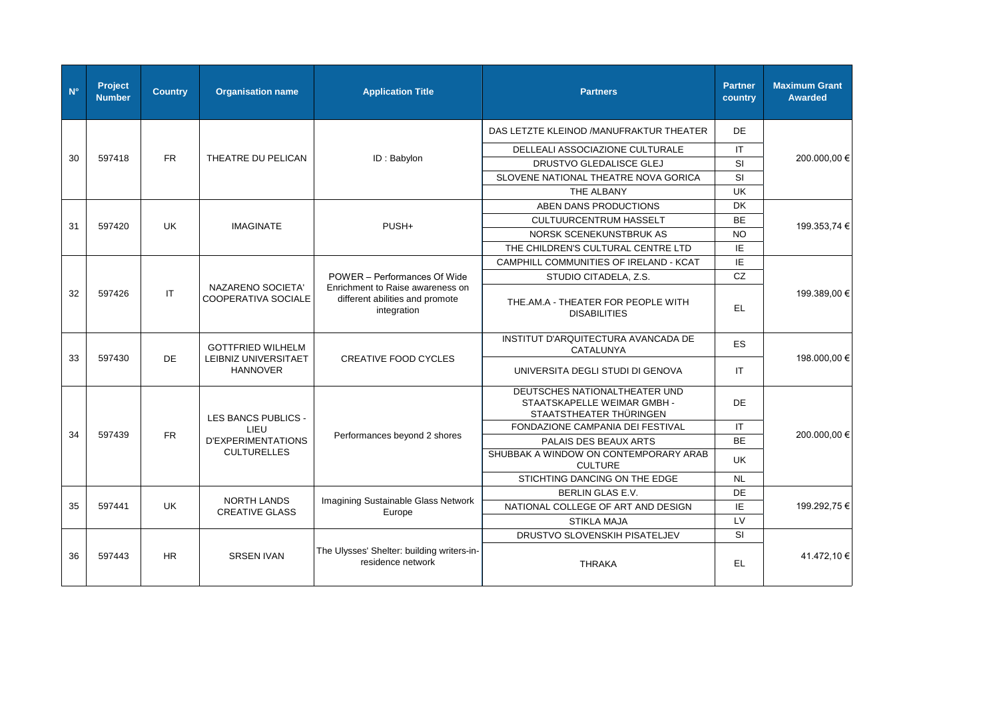| $N^{\circ}$ | Project<br><b>Number</b> | <b>Country</b> | <b>Organisation name</b>                 | <b>Application Title</b>                                                           | <b>Partners</b>                                                                         | <b>Partner</b><br>country | <b>Maximum Grant</b><br><b>Awarded</b> |
|-------------|--------------------------|----------------|------------------------------------------|------------------------------------------------------------------------------------|-----------------------------------------------------------------------------------------|---------------------------|----------------------------------------|
|             |                          |                |                                          |                                                                                    | DAS LETZTE KLEINOD / MANUFRAKTUR THEATER                                                | DE                        |                                        |
|             |                          |                |                                          |                                                                                    | DELLEALI ASSOCIAZIONE CULTURALE                                                         | IT.                       |                                        |
| 30          | 597418                   | <b>FR</b>      | THEATRE DU PELICAN                       | ID: Babylon                                                                        | DRUSTVO GLEDALISCE GLEJ                                                                 | <b>SI</b>                 | 200.000,00 €                           |
|             |                          |                |                                          |                                                                                    | SLOVENE NATIONAL THEATRE NOVA GORICA                                                    | <b>SI</b>                 |                                        |
|             |                          |                |                                          |                                                                                    | THE ALBANY                                                                              | <b>UK</b>                 |                                        |
|             |                          |                |                                          |                                                                                    | ABEN DANS PRODUCTIONS                                                                   | <b>DK</b>                 |                                        |
| 31          | 597420                   | <b>UK</b>      | <b>IMAGINATE</b>                         | PUSH+                                                                              | <b>CULTUURCENTRUM HASSELT</b>                                                           | <b>BE</b>                 | 199.353,74 €                           |
|             |                          |                |                                          |                                                                                    | NORSK SCENEKUNSTBRUK AS                                                                 | <b>NO</b>                 |                                        |
|             |                          |                |                                          |                                                                                    | THE CHILDREN'S CULTURAL CENTRE LTD                                                      | IE                        |                                        |
|             |                          |                |                                          |                                                                                    | CAMPHILL COMMUNITIES OF IRELAND - KCAT                                                  | IE                        |                                        |
|             |                          |                |                                          | POWER - Performances Of Wide                                                       | STUDIO CITADELA, Z.S.                                                                   | CZ                        |                                        |
| 32          | 597426                   | <b>IT</b>      | NAZARENO SOCIETA'<br>COOPERATIVA SOCIALE | Enrichment to Raise awareness on<br>different abilities and promote<br>integration | THE, AM.A - THEATER FOR PEOPLE WITH<br><b>DISABILITIES</b>                              | EL.                       | 199.389,00 €                           |
|             |                          |                | <b>GOTTFRIED WILHELM</b>                 | <b>CREATIVE FOOD CYCLES</b>                                                        | INSTITUT D'ARQUITECTURA AVANCADA DE<br>CATALUNYA                                        | <b>ES</b>                 |                                        |
| 33          | 597430                   | <b>DE</b>      | LEIBNIZ UNIVERSITAET<br><b>HANNOVER</b>  |                                                                                    | UNIVERSITA DEGLI STUDI DI GENOVA                                                        | IT.                       | 198.000,00 €                           |
|             |                          |                | LES BANCS PUBLICS -                      |                                                                                    | DEUTSCHES NATIONALTHEATER UND<br>STAATSKAPELLE WEIMAR GMBH -<br>STAATSTHEATER THÜRINGEN | DE                        |                                        |
|             |                          |                | LIEU                                     |                                                                                    | FONDAZIONE CAMPANIA DEI FESTIVAL                                                        | IT.                       |                                        |
| 34          | 597439                   | <b>FR</b>      | <b>D'EXPERIMENTATIONS</b>                | Performances beyond 2 shores                                                       | PALAIS DES BEAUX ARTS                                                                   | <b>BE</b>                 | 200.000,00 €                           |
|             |                          |                | <b>CULTURELLES</b>                       |                                                                                    | SHUBBAK A WINDOW ON CONTEMPORARY ARAB<br><b>CULTURE</b>                                 | <b>UK</b>                 |                                        |
|             |                          |                |                                          |                                                                                    | STICHTING DANCING ON THE EDGE                                                           | <b>NL</b>                 |                                        |
|             |                          |                | <b>NORTH LANDS</b>                       | Imagining Sustainable Glass Network                                                | BERLIN GLAS E.V.                                                                        | <b>DE</b>                 |                                        |
| 35          | 597441                   | <b>UK</b>      | <b>CREATIVE GLASS</b>                    | Europe                                                                             | NATIONAL COLLEGE OF ART AND DESIGN                                                      | IE                        | 199.292,75 €                           |
|             |                          |                |                                          |                                                                                    | <b>STIKLA MAJA</b>                                                                      | LV                        |                                        |
|             |                          |                |                                          |                                                                                    | DRUSTVO SLOVENSKIH PISATELJEV                                                           | <b>SI</b>                 |                                        |
| 36          | 597443                   | <b>HR</b>      | <b>SRSEN IVAN</b>                        | The Ulysses' Shelter: building writers-in-<br>residence network                    | <b>THRAKA</b>                                                                           | EL                        | 41.472,10 €                            |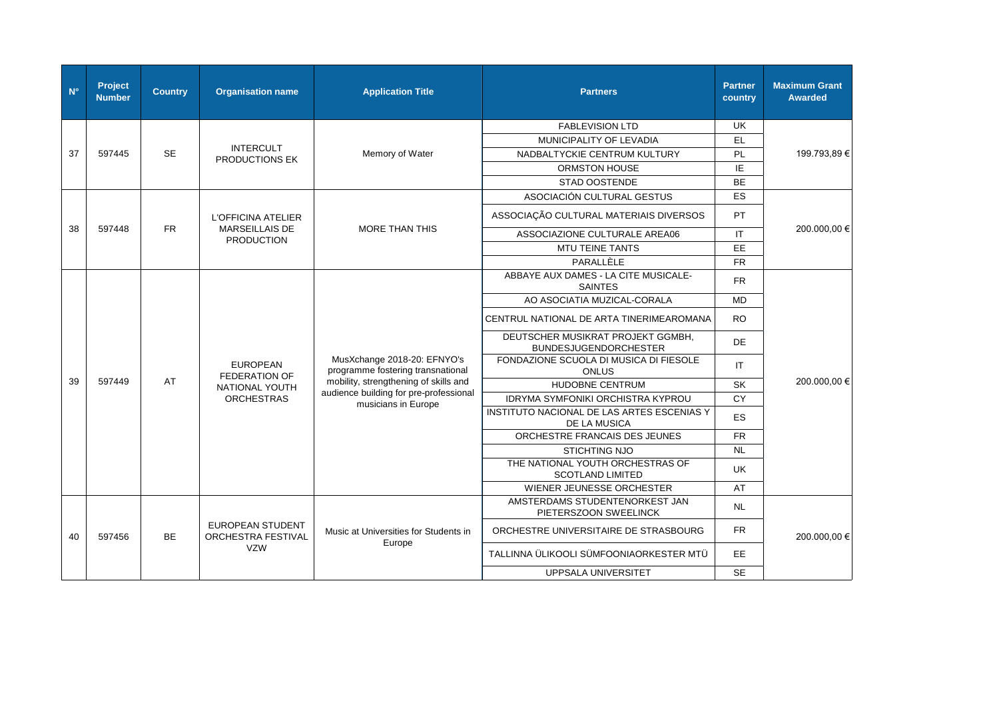| $N^{\circ}$ | Project<br><b>Number</b> | <b>Country</b> | <b>Organisation name</b>                      | <b>Application Title</b>                                      | <b>Partners</b>                                                   | <b>Partner</b><br>country | <b>Maximum Grant</b><br><b>Awarded</b> |  |                                         |                                                                  |                                                        |           |
|-------------|--------------------------|----------------|-----------------------------------------------|---------------------------------------------------------------|-------------------------------------------------------------------|---------------------------|----------------------------------------|--|-----------------------------------------|------------------------------------------------------------------|--------------------------------------------------------|-----------|
|             |                          |                |                                               |                                                               | <b>FABLEVISION LTD</b>                                            | <b>UK</b>                 |                                        |  |                                         |                                                                  |                                                        |           |
|             |                          |                |                                               |                                                               | MUNICIPALITY OF LEVADIA                                           | EL.                       |                                        |  |                                         |                                                                  |                                                        |           |
| 37          | 597445                   | <b>SE</b>      | <b>INTERCULT</b><br>PRODUCTIONS EK            | Memory of Water                                               | NADBALTYCKIE CENTRUM KULTURY                                      | <b>PL</b>                 | 199.793,89€                            |  |                                         |                                                                  |                                                        |           |
|             |                          |                |                                               |                                                               | ORMSTON HOUSE                                                     | IE                        |                                        |  |                                         |                                                                  |                                                        |           |
|             |                          |                |                                               |                                                               | <b>STAD OOSTENDE</b>                                              | <b>BE</b>                 |                                        |  |                                         |                                                                  |                                                        |           |
|             |                          |                |                                               |                                                               | ASOCIACIÓN CULTURAL GESTUS                                        | ES                        |                                        |  |                                         |                                                                  |                                                        |           |
|             |                          |                | L'OFFICINA ATELIER                            |                                                               | ASSOCIAÇÃO CULTURAL MATERIAIS DIVERSOS                            | <b>PT</b>                 |                                        |  |                                         |                                                                  |                                                        |           |
| 38          | 597448                   | <b>FR</b>      | <b>MARSEILLAIS DE</b><br><b>PRODUCTION</b>    | <b>MORE THAN THIS</b>                                         | ASSOCIAZIONE CULTURALE AREA06                                     | IT.                       | 200.000,00 €                           |  |                                         |                                                                  |                                                        |           |
|             |                          |                |                                               |                                                               | <b>MTU TEINE TANTS</b>                                            | EE.                       |                                        |  |                                         |                                                                  |                                                        |           |
|             |                          |                |                                               |                                                               | PARALLÈLE                                                         | <b>FR</b>                 |                                        |  |                                         |                                                                  |                                                        |           |
|             |                          |                |                                               |                                                               | ABBAYE AUX DAMES - LA CITE MUSICALE-<br><b>SAINTES</b>            | <b>FR</b>                 |                                        |  |                                         |                                                                  |                                                        |           |
|             |                          |                |                                               |                                                               | AO ASOCIATIA MUZICAL-CORALA                                       | <b>MD</b>                 |                                        |  |                                         |                                                                  |                                                        |           |
|             |                          |                |                                               |                                                               | CENTRUL NATIONAL DE ARTA TINERIMEAROMANA                          | <b>RO</b>                 |                                        |  |                                         |                                                                  |                                                        |           |
|             |                          | AT             |                                               |                                                               | DEUTSCHER MUSIKRAT PROJEKT GGMBH,<br><b>BUNDESJUGENDORCHESTER</b> | DE                        |                                        |  |                                         |                                                                  |                                                        |           |
|             |                          |                |                                               |                                                               |                                                                   |                           |                                        |  | <b>EUROPEAN</b><br><b>FEDERATION OF</b> | MusXchange 2018-20: EFNYO's<br>programme fostering transnational | FONDAZIONE SCUOLA DI MUSICA DI FIESOLE<br><b>ONLUS</b> | <b>IT</b> |
| 39          | 597449                   |                | NATIONAL YOUTH                                | mobility, strengthening of skills and                         | HUDOBNE CENTRUM                                                   | SK                        | 200.000,00 €                           |  |                                         |                                                                  |                                                        |           |
|             |                          |                | <b>ORCHESTRAS</b>                             | audience building for pre-professional<br>musicians in Europe | IDRYMA SYMFONIKI ORCHISTRA KYPROU                                 | CY                        |                                        |  |                                         |                                                                  |                                                        |           |
|             |                          |                |                                               |                                                               | INSTITUTO NACIONAL DE LAS ARTES ESCENIAS Y<br>DE LA MUSICA        | ES                        |                                        |  |                                         |                                                                  |                                                        |           |
|             |                          |                |                                               |                                                               | ORCHESTRE FRANCAIS DES JEUNES                                     | <b>FR</b>                 |                                        |  |                                         |                                                                  |                                                        |           |
|             |                          |                |                                               |                                                               | <b>STICHTING NJO</b>                                              | <b>NL</b>                 |                                        |  |                                         |                                                                  |                                                        |           |
|             |                          |                |                                               |                                                               | THE NATIONAL YOUTH ORCHESTRAS OF<br><b>SCOTLAND LIMITED</b>       | UK.                       |                                        |  |                                         |                                                                  |                                                        |           |
|             |                          |                |                                               |                                                               | WIENER JEUNESSE ORCHESTER                                         | AT                        |                                        |  |                                         |                                                                  |                                                        |           |
|             |                          |                |                                               |                                                               | AMSTERDAMS STUDENTENORKEST JAN<br>PIETERSZOON SWEELINCK           | <b>NL</b>                 |                                        |  |                                         |                                                                  |                                                        |           |
| 40          | 597456                   | <b>BE</b>      | <b>EUROPEAN STUDENT</b><br>ORCHESTRA FESTIVAL | Music at Universities for Students in                         | ORCHESTRE UNIVERSITAIRE DE STRASBOURG                             | <b>FR</b>                 | 200.000,00 €                           |  |                                         |                                                                  |                                                        |           |
|             |                          |                | <b>VZW</b>                                    | Europe                                                        | TALLINNA ÜLIKOOLI SÜMFOONIAORKESTER MTÜ                           | EE.                       |                                        |  |                                         |                                                                  |                                                        |           |
|             |                          |                |                                               |                                                               | UPPSALA UNIVERSITET                                               | <b>SE</b>                 |                                        |  |                                         |                                                                  |                                                        |           |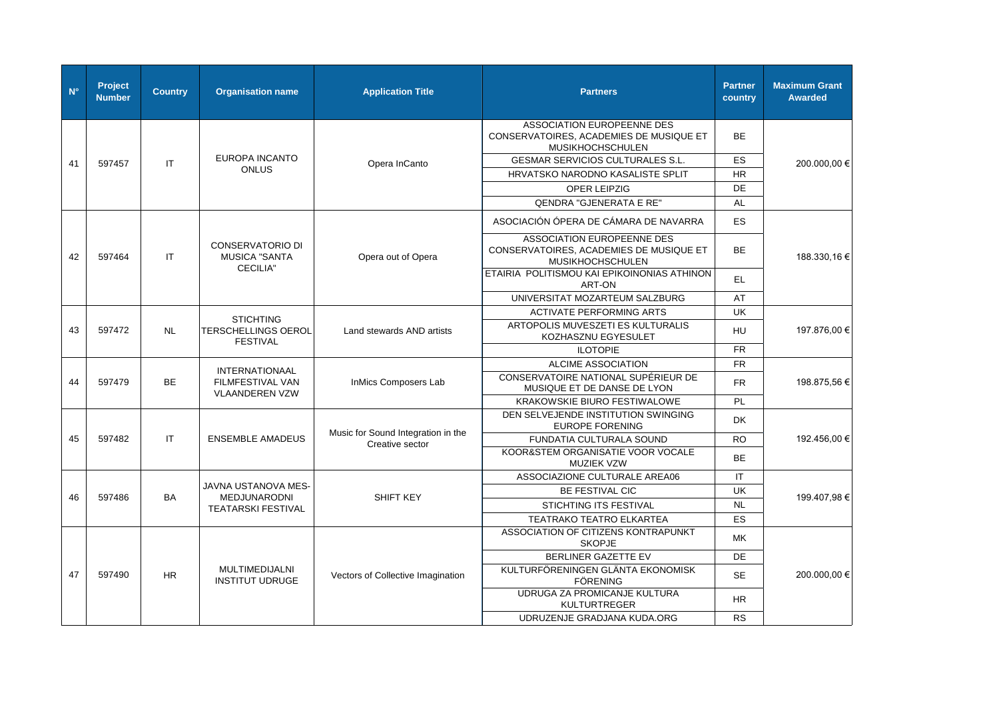| $N^{\circ}$ | <b>Project</b><br><b>Number</b> | <b>Country</b> | <b>Organisation name</b>                        | <b>Application Title</b>                              | <b>Partners</b>                                                                           | <b>Partner</b><br>country | <b>Maximum Grant</b><br><b>Awarded</b> |
|-------------|---------------------------------|----------------|-------------------------------------------------|-------------------------------------------------------|-------------------------------------------------------------------------------------------|---------------------------|----------------------------------------|
|             |                                 |                |                                                 |                                                       | ASSOCIATION EUROPEENNE DES<br>CONSERVATOIRES, ACADEMIES DE MUSIQUE ET<br>MUSIKHOCHSCHULEN | <b>BE</b>                 |                                        |
| 41          | 597457                          | IT.            | <b>EUROPA INCANTO</b>                           | Opera InCanto                                         | <b>GESMAR SERVICIOS CULTURALES S.L.</b>                                                   | <b>ES</b>                 | 200.000,00 €                           |
|             |                                 |                | <b>ONLUS</b>                                    |                                                       | HRVATSKO NARODNO KASALISTE SPLIT                                                          | <b>HR</b>                 |                                        |
|             |                                 |                |                                                 |                                                       | OPER LEIPZIG                                                                              | DE                        |                                        |
|             |                                 |                |                                                 |                                                       | <b>QENDRA "GJENERATA E RE"</b>                                                            | <b>AL</b>                 |                                        |
|             |                                 |                |                                                 |                                                       | ASOCIACIÓN ÓPERA DE CÁMARA DE NAVARRA                                                     | ES                        |                                        |
| 42          | 597464                          | IT.            | <b>CONSERVATORIO DI</b><br><b>MUSICA "SANTA</b> | Opera out of Opera                                    | ASSOCIATION EUROPEENNE DES<br>CONSERVATOIRES, ACADEMIES DE MUSIQUE ET<br>MUSIKHOCHSCHULEN | <b>BE</b>                 | 188.330,16 €                           |
|             |                                 |                | <b>CECILIA"</b>                                 |                                                       | ETAIRIA POLITISMOU KAI EPIKOINONIAS ATHINON<br>ART-ON                                     | EL                        |                                        |
|             |                                 |                |                                                 |                                                       | UNIVERSITAT MOZARTEUM SALZBURG                                                            | AT                        |                                        |
|             |                                 |                | <b>STICHTING</b>                                |                                                       | <b>ACTIVATE PERFORMING ARTS</b>                                                           | <b>UK</b>                 |                                        |
| 43          | 597472                          | <b>NL</b>      | <b>TERSCHELLINGS OEROL</b><br><b>FESTIVAL</b>   | Land stewards AND artists                             | ARTOPOLIS MUVESZETI ES KULTURALIS<br>KOZHASZNU EGYESULET                                  | HU                        | 197.876,00 €                           |
|             |                                 |                |                                                 |                                                       | <b>ILOTOPIE</b>                                                                           | <b>FR</b>                 |                                        |
|             |                                 |                | <b>INTERNATIONAAL</b>                           |                                                       | ALCIME ASSOCIATION                                                                        | FR.                       |                                        |
| 44          | 597479                          | <b>BE</b>      | FILMFESTIVAL VAN<br><b>VLAANDEREN VZW</b>       | InMics Composers Lab                                  | CONSERVATOIRE NATIONAL SUPÉRIEUR DE<br>MUSIQUE ET DE DANSE DE LYON                        | FR.                       | 198.875,56 €                           |
|             |                                 |                |                                                 |                                                       | <b>KRAKOWSKIE BIURO FESTIWALOWE</b>                                                       | PL                        |                                        |
|             |                                 |                |                                                 |                                                       | DEN SELVEJENDE INSTITUTION SWINGING<br><b>EUROPE FORENING</b>                             | <b>DK</b>                 |                                        |
| 45          | 597482                          | IT             | <b>ENSEMBLE AMADEUS</b>                         | Music for Sound Integration in the<br>Creative sector | <b>FUNDATIA CULTURALA SOUND</b>                                                           | <b>RO</b>                 | 192.456.00 €                           |
|             |                                 |                |                                                 |                                                       | KOOR&STEM ORGANISATIE VOOR VOCALE<br><b>MUZIEK VZW</b>                                    | BE                        |                                        |
|             |                                 |                |                                                 |                                                       | ASSOCIAZIONE CULTURALE AREA06                                                             | IT.                       |                                        |
| 46          | 597486                          | <b>BA</b>      | JAVNA USTANOVA MES-<br>MEDJUNARODNI             | <b>SHIFT KEY</b>                                      | BE FESTIVAL CIC                                                                           | UK                        | 199.407,98 €                           |
|             |                                 |                | <b>TEATARSKI FESTIVAL</b>                       |                                                       | STICHTING ITS FESTIVAL                                                                    | <b>NL</b>                 |                                        |
|             |                                 |                |                                                 |                                                       | TEATRAKO TEATRO ELKARTEA                                                                  | ES                        |                                        |
|             |                                 |                |                                                 |                                                       | ASSOCIATION OF CITIZENS KONTRAPUNKT<br><b>SKOPJE</b>                                      | МK                        |                                        |
|             |                                 |                |                                                 |                                                       | BERLINER GAZETTE EV                                                                       | DE                        |                                        |
| 47          | 597490                          | HR.            | <b>MULTIMEDIJALNI</b><br><b>INSTITUT UDRUGE</b> | Vectors of Collective Imagination                     | KULTURFÖRENINGEN GLÄNTA EKONOMISK<br><b>FÖRENING</b>                                      | <b>SE</b>                 | 200.000,00 €                           |
|             |                                 |                |                                                 |                                                       | UDRUGA ZA PROMICANJE KULTURA<br><b>KULTURTREGER</b>                                       | <b>HR</b>                 |                                        |
|             |                                 |                |                                                 |                                                       | UDRUZENJE GRADJANA KUDA.ORG                                                               | <b>RS</b>                 |                                        |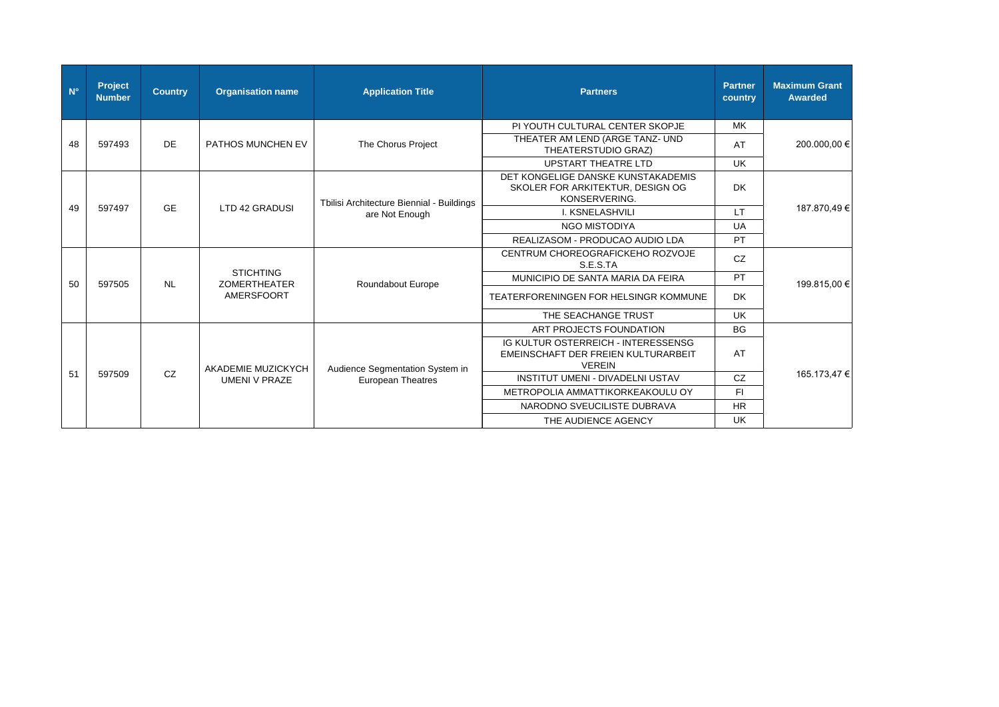| $N^{\circ}$ | <b>Project</b><br><b>Number</b> | <b>Country</b> | <b>Organisation name</b> | <b>Application Title</b>                  | <b>Partners</b>                                                                             | <b>Partner</b><br>country         | <b>Maximum Grant</b><br><b>Awarded</b> |              |  |            |  |                                       |
|-------------|---------------------------------|----------------|--------------------------|-------------------------------------------|---------------------------------------------------------------------------------------------|-----------------------------------|----------------------------------------|--------------|--|------------|--|---------------------------------------|
|             |                                 |                |                          |                                           | PI YOUTH CULTURAL CENTER SKOPJE                                                             | MK.                               |                                        |              |  |            |  |                                       |
| 48          | 597493                          | <b>DE</b>      | PATHOS MUNCHEN EV        | The Chorus Project                        | THEATER AM LEND (ARGE TANZ- UND<br>THEATERSTUDIO GRAZ)                                      | AT                                | 200.000,00 €                           |              |  |            |  |                                       |
|             |                                 |                |                          |                                           | <b>UPSTART THEATRE LTD</b>                                                                  | <b>UK</b>                         |                                        |              |  |            |  |                                       |
|             |                                 |                |                          | Tbilisi Architecture Biennial - Buildings | DET KONGELIGE DANSKE KUNSTAKADEMIS<br>SKOLER FOR ARKITEKTUR, DESIGN OG<br>KONSERVERING.     | <b>DK</b>                         |                                        |              |  |            |  |                                       |
| 49          | 597497                          | <b>GE</b>      | LTD 42 GRADUSI           | are Not Enough                            | I. KSNELASHVILI                                                                             | $\mathsf{I}$ T                    | 187.870,49€                            |              |  |            |  |                                       |
|             |                                 |                |                          |                                           | <b>NGO MISTODIYA</b>                                                                        | <b>UA</b>                         |                                        |              |  |            |  |                                       |
|             |                                 |                |                          |                                           | REALIZASOM - PRODUCAO AUDIO LDA                                                             | PT                                |                                        |              |  |            |  |                                       |
|             |                                 |                |                          |                                           | CENTRUM CHOREOGRAFICKEHO ROZVOJE<br>S.E.S.TA                                                | <b>CZ</b>                         |                                        |              |  |            |  |                                       |
| 50          | 597505                          | <b>NL</b>      |                          | <b>STICHTING</b><br><b>ZOMERTHEATER</b>   | Roundabout Europe                                                                           | MUNICIPIO DE SANTA MARIA DA FEIRA | PT                                     | 199.815,00 € |  |            |  |                                       |
|             |                                 |                |                          |                                           |                                                                                             |                                   |                                        |              |  | AMERSFOORT |  | TEATERFORENINGEN FOR HELSINGR KOMMUNE |
|             |                                 |                |                          |                                           | THE SEACHANGE TRUST                                                                         | <b>UK</b>                         |                                        |              |  |            |  |                                       |
|             |                                 |                |                          |                                           | ART PROJECTS FOUNDATION                                                                     | <b>BG</b>                         |                                        |              |  |            |  |                                       |
|             |                                 |                | AKADEMIE MUZICKYCH       | Audience Segmentation System in           | IG KULTUR OSTERREICH - INTERESSENSG<br>EMEINSCHAFT DER FREIEN KULTURARBEIT<br><b>VEREIN</b> | AT                                |                                        |              |  |            |  |                                       |
| 51          | 597509                          | CZ             | <b>UMENI V PRAZE</b>     | <b>European Theatres</b>                  | INSTITUT UMENI - DIVADELNI USTAV                                                            | CZ                                | 165.173,47 €                           |              |  |            |  |                                       |
|             |                                 |                |                          |                                           | METROPOLIA AMMATTIKORKEAKOULU OY                                                            | FI.                               |                                        |              |  |            |  |                                       |
|             |                                 |                |                          |                                           | NARODNO SVEUCILISTE DUBRAVA                                                                 | <b>HR</b>                         |                                        |              |  |            |  |                                       |
|             |                                 |                |                          |                                           | THE AUDIENCE AGENCY                                                                         | <b>UK</b>                         |                                        |              |  |            |  |                                       |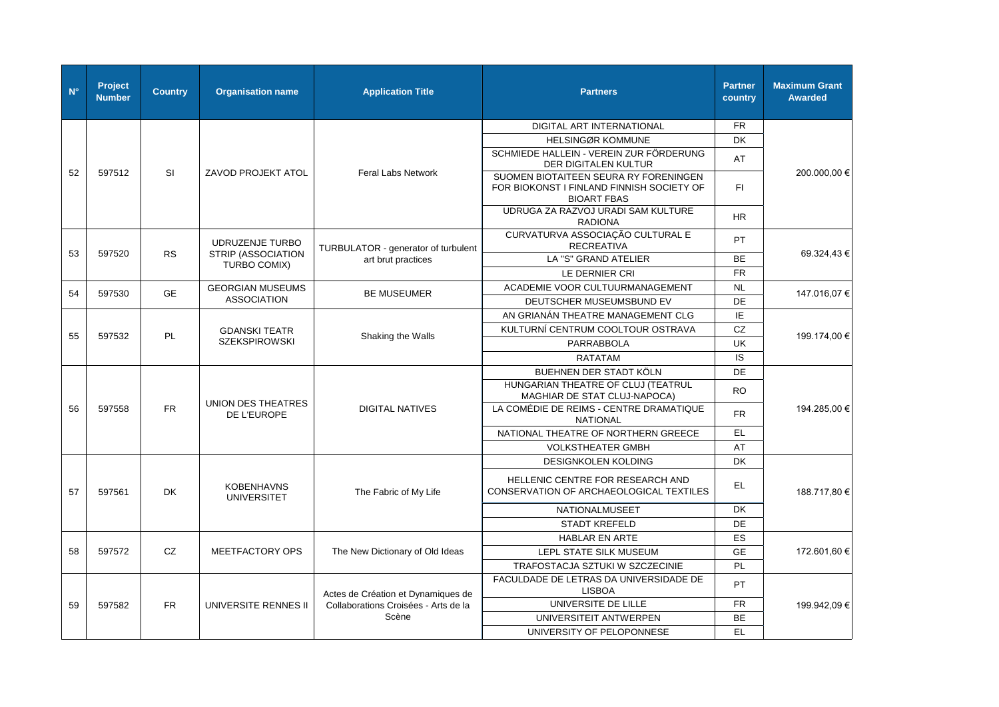| $N^{\circ}$ | Project<br><b>Number</b> | <b>Country</b> | <b>Organisation name</b>                           | <b>Application Title</b>             | <b>Partners</b>                                                                                          | <b>Partner</b><br>country | <b>Maximum Grant</b><br><b>Awarded</b> |  |  |  |  |             |                        |                                                            |           |
|-------------|--------------------------|----------------|----------------------------------------------------|--------------------------------------|----------------------------------------------------------------------------------------------------------|---------------------------|----------------------------------------|--|--|--|--|-------------|------------------------|------------------------------------------------------------|-----------|
|             |                          |                |                                                    |                                      | DIGITAL ART INTERNATIONAL                                                                                | <b>FR</b>                 |                                        |  |  |  |  |             |                        |                                                            |           |
|             |                          |                |                                                    |                                      | <b>HELSINGØR KOMMUNE</b>                                                                                 | <b>DK</b>                 |                                        |  |  |  |  |             |                        |                                                            |           |
|             |                          |                |                                                    |                                      | SCHMIEDE HALLEIN - VEREIN ZUR FÖRDERUNG<br>DER DIGITALEN KULTUR                                          | AT                        |                                        |  |  |  |  |             |                        |                                                            |           |
| 52          | 597512                   | <b>SI</b>      | ZAVOD PROJEKT ATOL                                 | <b>Feral Labs Network</b>            | SUOMEN BIOTAITEEN SEURA RY FORENINGEN<br>FOR BIOKONST I FINLAND FINNISH SOCIETY OF<br><b>BIOART FBAS</b> | FL.                       | 200.000,00 €                           |  |  |  |  |             |                        |                                                            |           |
|             |                          |                |                                                    |                                      | UDRUGA ZA RAZVOJ URADI SAM KULTURE<br><b>RADIONA</b>                                                     | <b>HR</b>                 |                                        |  |  |  |  |             |                        |                                                            |           |
|             |                          |                | UDRUZENJE TURBO                                    | TURBULATOR - generator of turbulent  | CURVATURVA ASSOCIAÇÃO CULTURAL E<br><b>RECREATIVA</b>                                                    | PT                        |                                        |  |  |  |  |             |                        |                                                            |           |
| 53          | 597520                   | <b>RS</b>      | STRIP (ASSOCIATION<br>TURBO COMIX)                 | art brut practices                   | LA "S" GRAND ATELIER                                                                                     | <b>BE</b>                 | 69.324.43 €                            |  |  |  |  |             |                        |                                                            |           |
|             |                          |                |                                                    |                                      | LE DERNIER CRI                                                                                           | <b>FR</b>                 |                                        |  |  |  |  |             |                        |                                                            |           |
| 54          | 597530                   | <b>GE</b>      | <b>GEORGIAN MUSEUMS</b>                            | <b>BE MUSEUMER</b>                   | ACADEMIE VOOR CULTUURMANAGEMENT                                                                          | <b>NL</b>                 |                                        |  |  |  |  |             |                        |                                                            |           |
|             |                          |                | <b>ASSOCIATION</b>                                 |                                      | DEUTSCHER MUSEUMSBUND EV                                                                                 | DE                        | 147.016,07 €                           |  |  |  |  |             |                        |                                                            |           |
|             |                          |                |                                                    |                                      | AN GRIANÁN THEATRE MANAGEMENT CLG                                                                        | IE                        |                                        |  |  |  |  |             |                        |                                                            |           |
| 55          | 597532                   |                | <b>GDANSKI TEATR</b><br>PL<br><b>SZEKSPIROWSKI</b> | Shaking the Walls                    | KULTURNÍ CENTRUM COOLTOUR OSTRAVA                                                                        | CZ                        | 199.174,00 €                           |  |  |  |  |             |                        |                                                            |           |
|             |                          |                |                                                    |                                      | <b>PARRABBOLA</b>                                                                                        | UK                        |                                        |  |  |  |  |             |                        |                                                            |           |
|             |                          |                |                                                    |                                      | <b>RATATAM</b>                                                                                           | IS                        |                                        |  |  |  |  |             |                        |                                                            |           |
|             |                          |                |                                                    |                                      | BUEHNEN DER STADT KÖLN                                                                                   | DE                        |                                        |  |  |  |  |             |                        |                                                            |           |
|             | 597558                   |                | UNION DES THEATRES                                 |                                      | HUNGARIAN THEATRE OF CLUJ (TEATRUL<br>MAGHIAR DE STAT CLUJ-NAPOCA)                                       | <b>RO</b>                 |                                        |  |  |  |  |             |                        |                                                            |           |
| 56          |                          | <b>FR</b>      |                                                    |                                      |                                                                                                          |                           |                                        |  |  |  |  | DE L'EUROPE | <b>DIGITAL NATIVES</b> | LA COMÉDIE DE REIMS - CENTRE DRAMATIQUE<br><b>NATIONAL</b> | <b>FR</b> |
|             |                          |                |                                                    |                                      | NATIONAL THEATRE OF NORTHERN GREECE                                                                      | EL.                       |                                        |  |  |  |  |             |                        |                                                            |           |
|             |                          |                |                                                    |                                      | <b>VOLKSTHEATER GMBH</b>                                                                                 | AT                        |                                        |  |  |  |  |             |                        |                                                            |           |
|             |                          |                |                                                    |                                      | DESIGNKOLEN KOLDING                                                                                      | <b>DK</b>                 |                                        |  |  |  |  |             |                        |                                                            |           |
| 57          | 597561                   | <b>DK</b>      | <b>KOBENHAVNS</b><br><b>UNIVERSITET</b>            | The Fabric of My Life                | HELLENIC CENTRE FOR RESEARCH AND<br>CONSERVATION OF ARCHAEOLOGICAL TEXTILES                              | EL.                       | 188.717,80 €                           |  |  |  |  |             |                        |                                                            |           |
|             |                          |                |                                                    |                                      | <b>NATIONALMUSEET</b>                                                                                    | <b>DK</b>                 |                                        |  |  |  |  |             |                        |                                                            |           |
|             |                          |                |                                                    |                                      | <b>STADT KREFELD</b>                                                                                     | DE                        |                                        |  |  |  |  |             |                        |                                                            |           |
|             |                          |                |                                                    |                                      | <b>HABLAR EN ARTE</b>                                                                                    | ES                        |                                        |  |  |  |  |             |                        |                                                            |           |
| 58          | 597572                   | CZ             | <b>MEETFACTORY OPS</b>                             | The New Dictionary of Old Ideas      | LEPL STATE SILK MUSEUM                                                                                   | <b>GE</b>                 | 172.601,60 €                           |  |  |  |  |             |                        |                                                            |           |
|             |                          |                |                                                    |                                      | TRAFOSTACJA SZTUKI W SZCZECINIE                                                                          | <b>PL</b>                 |                                        |  |  |  |  |             |                        |                                                            |           |
|             |                          |                |                                                    | Actes de Création et Dynamiques de   | FACULDADE DE LETRAS DA UNIVERSIDADE DE<br><b>LISBOA</b>                                                  | PT                        |                                        |  |  |  |  |             |                        |                                                            |           |
| 59          | 597582                   | <b>FR</b>      | UNIVERSITE RENNES II                               | Collaborations Croisées - Arts de la | UNIVERSITE DE LILLE                                                                                      | <b>FR</b>                 | 199.942,09€                            |  |  |  |  |             |                        |                                                            |           |
|             |                          |                |                                                    |                                      | Scène                                                                                                    | UNIVERSITEIT ANTWERPEN    | <b>BE</b>                              |  |  |  |  |             |                        |                                                            |           |
|             |                          |                |                                                    |                                      | UNIVERSITY OF PELOPONNESE                                                                                | EL.                       |                                        |  |  |  |  |             |                        |                                                            |           |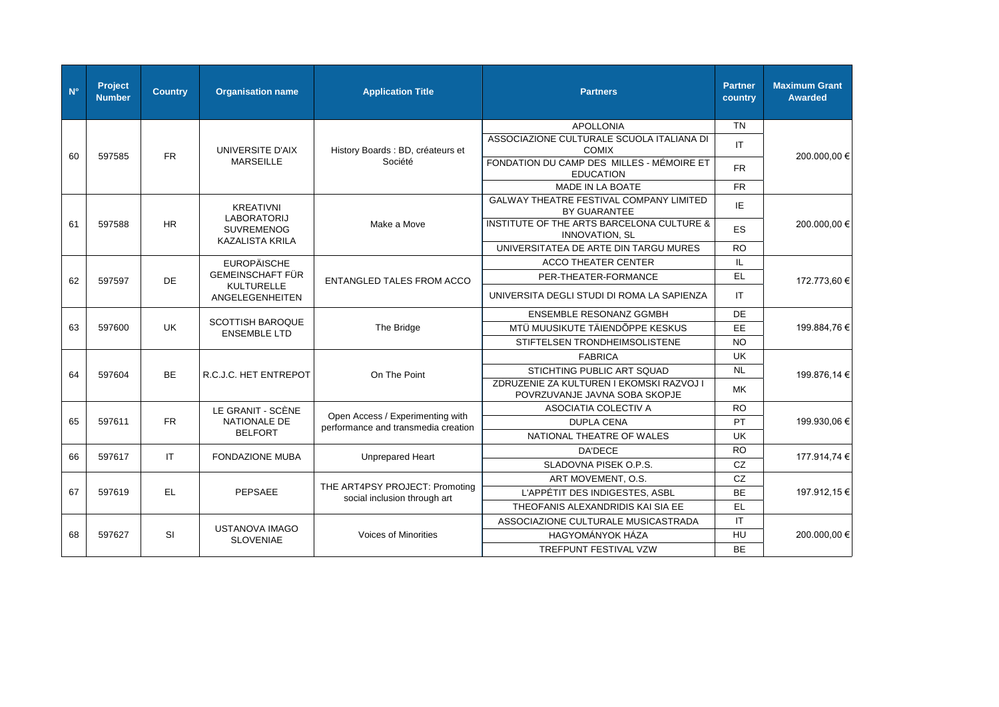| $N^{\circ}$ | Project<br><b>Number</b> | <b>Country</b> | <b>Organisation name</b>                       | <b>Application Title</b>                                                | <b>Partners</b>                                                    | <b>Partner</b><br>country | <b>Maximum Grant</b><br><b>Awarded</b> |              |  |                       |              |                                                                           |     |              |
|-------------|--------------------------|----------------|------------------------------------------------|-------------------------------------------------------------------------|--------------------------------------------------------------------|---------------------------|----------------------------------------|--------------|--|-----------------------|--------------|---------------------------------------------------------------------------|-----|--------------|
|             |                          |                |                                                |                                                                         | <b>APOLLONIA</b>                                                   | TN                        |                                        |              |  |                       |              |                                                                           |     |              |
| 60          | 597585                   | <b>FR</b>      | UNIVERSITE D'AIX                               | History Boards : BD, créateurs et                                       | ASSOCIAZIONE CULTURALE SCUOLA ITALIANA DI<br><b>COMIX</b>          | IT.                       | 200.000,00 €                           |              |  |                       |              |                                                                           |     |              |
|             |                          |                | <b>MARSEILLE</b>                               | Société                                                                 | FONDATION DU CAMP DES MILLES - MÉMOIRE ET<br><b>EDUCATION</b>      | FR.                       |                                        |              |  |                       |              |                                                                           |     |              |
|             |                          |                |                                                |                                                                         | <b>MADE IN LA BOATE</b>                                            | <b>FR</b>                 |                                        |              |  |                       |              |                                                                           |     |              |
|             |                          |                | <b>KREATIVNI</b>                               |                                                                         | <b>GALWAY THEATRE FESTIVAL COMPANY LIMITED</b><br>BY GUARANTEE     | ΙE                        |                                        |              |  |                       |              |                                                                           |     |              |
| 61          | 597588                   | HR.            | <b>LABORATORIJ</b><br><b>SUVREMENOG</b>        | Make a Move                                                             | INSTITUTE OF THE ARTS BARCELONA CULTURE &<br><b>INNOVATION, SL</b> | <b>ES</b>                 | 200.000,00 €                           |              |  |                       |              |                                                                           |     |              |
|             |                          |                | <b>KAZALISTA KRILA</b>                         |                                                                         | UNIVERSITATEA DE ARTE DIN TARGU MURES                              | <b>RO</b>                 |                                        |              |  |                       |              |                                                                           |     |              |
|             |                          |                | <b>EUROPÄISCHE</b>                             |                                                                         | <b>ACCO THEATER CENTER</b>                                         | IL                        |                                        |              |  |                       |              |                                                                           |     |              |
| 62          | 597597                   | DE             | <b>GEMEINSCHAFT FÜR</b>                        | <b>ENTANGLED TALES FROM ACCO</b>                                        | PER-THEATER-FORMANCE                                               | EL.                       | 172.773,60 €                           |              |  |                       |              |                                                                           |     |              |
|             |                          |                | KULTURELLE<br>ANGELEGENHEITEN                  |                                                                         | UNIVERSITA DEGLI STUDI DI ROMA LA SAPIENZA                         | IT                        |                                        |              |  |                       |              |                                                                           |     |              |
|             |                          |                |                                                |                                                                         | <b>ENSEMBLE RESONANZ GGMBH</b>                                     | DE                        |                                        |              |  |                       |              |                                                                           |     |              |
| 63          | 597600                   | <b>UK</b>      | <b>SCOTTISH BAROQUE</b><br><b>ENSEMBLE LTD</b> | The Bridge                                                              | MTÜ MUUSIKUTE TÄIENDÕPPE KESKUS                                    | <b>EE</b>                 | 199.884,76 €                           |              |  |                       |              |                                                                           |     |              |
|             |                          |                |                                                |                                                                         | STIFTELSEN TRONDHEIMSOLISTENE                                      | <b>NO</b>                 |                                        |              |  |                       |              |                                                                           |     |              |
|             |                          |                |                                                |                                                                         | <b>FABRICA</b>                                                     | <b>UK</b>                 |                                        |              |  |                       |              |                                                                           |     |              |
| 64          | 597604                   | <b>BE</b>      |                                                |                                                                         |                                                                    |                           |                                        |              |  | R.C.J.C. HET ENTREPOT | On The Point | STICHTING PUBLIC ART SQUAD                                                | NL  | 199.876,14 € |
|             |                          |                |                                                |                                                                         |                                                                    |                           |                                        |              |  |                       |              | ZDRUZENIE ZA KULTUREN I EKOMSKI RAZVOJ I<br>POVRZUVANJE JAVNA SOBA SKOPJE | MK. |              |
|             |                          |                | LE GRANIT - SCÈNE                              |                                                                         | ASOCIATIA COLECTIV A                                               | <b>RO</b>                 |                                        |              |  |                       |              |                                                                           |     |              |
| 65          | 597611                   | <b>FR</b>      | NATIONALE DE                                   | Open Access / Experimenting with<br>performance and transmedia creation | <b>DUPLA CENA</b>                                                  | PT                        | 199.930,06 €                           |              |  |                       |              |                                                                           |     |              |
|             |                          |                | <b>BELFORT</b>                                 |                                                                         | NATIONAL THEATRE OF WALES                                          | UK                        |                                        |              |  |                       |              |                                                                           |     |              |
| 66          | 597617                   | IT.            | <b>FONDAZIONE MUBA</b>                         | Unprepared Heart                                                        | <b>DA'DECE</b>                                                     | <b>RO</b>                 | 177.914,74 €                           |              |  |                       |              |                                                                           |     |              |
|             |                          |                |                                                |                                                                         | SLADOVNA PISEK O.P.S.                                              | CZ                        |                                        |              |  |                       |              |                                                                           |     |              |
|             |                          |                |                                                |                                                                         | ART MOVEMENT, O.S.                                                 | CZ                        |                                        |              |  |                       |              |                                                                           |     |              |
| 67          | 597619                   | EL.            | PEPSAEE                                        | THE ART4PSY PROJECT: Promoting<br>social inclusion through art          | L'APPÉTIT DES INDIGESTES, ASBL                                     | <b>BE</b>                 | 197.912,15 €                           |              |  |                       |              |                                                                           |     |              |
|             |                          |                |                                                |                                                                         | THEOFANIS ALEXANDRIDIS KAI SIA EE                                  | EL.                       |                                        |              |  |                       |              |                                                                           |     |              |
|             |                          |                |                                                |                                                                         | ASSOCIAZIONE CULTURALE MUSICASTRADA                                | IT.                       |                                        |              |  |                       |              |                                                                           |     |              |
| 68          | 597627                   | <b>SI</b>      |                                                | <b>USTANOVA IMAGO</b><br><b>SLOVENIAE</b>                               | <b>Voices of Minorities</b>                                        | HAGYOMÁNYOK HÁZA          | HU                                     | 200.000,00 € |  |                       |              |                                                                           |     |              |
|             |                          |                |                                                |                                                                         | <b>TREFPUNT FESTIVAL VZW</b>                                       | <b>BE</b>                 |                                        |              |  |                       |              |                                                                           |     |              |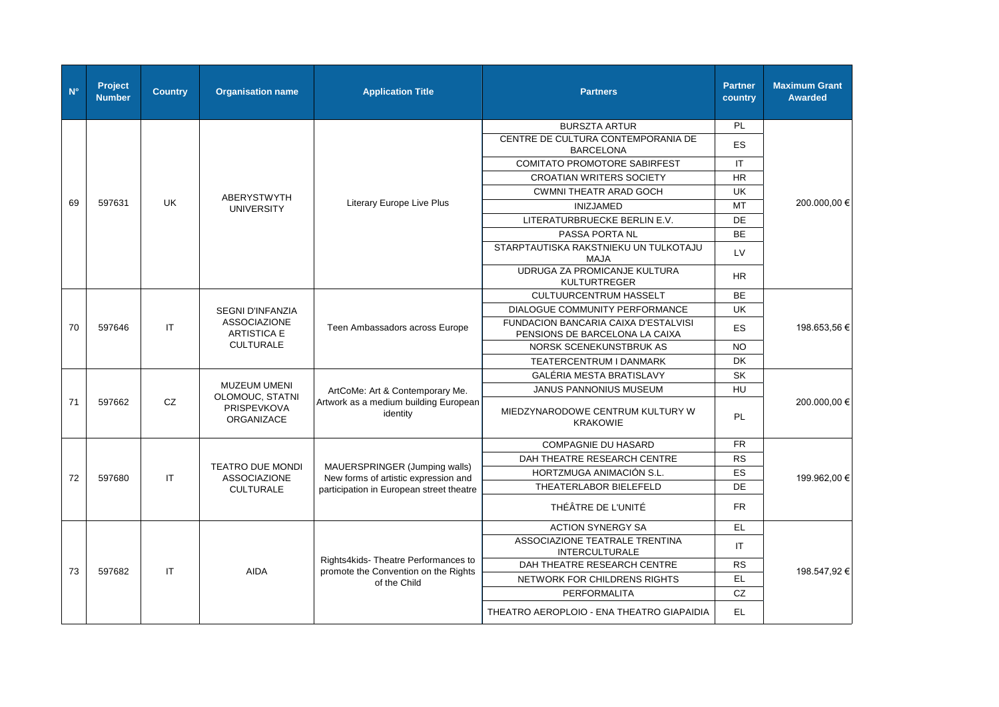| $N^{\circ}$ | Project<br><b>Number</b> | <b>Country</b> | <b>Organisation name</b>                | <b>Application Title</b>                                                         | <b>Partners</b>                                         | <b>Partner</b><br>country                 | <b>Maximum Grant</b><br><b>Awarded</b>                                        |                                 |                        |    |  |
|-------------|--------------------------|----------------|-----------------------------------------|----------------------------------------------------------------------------------|---------------------------------------------------------|-------------------------------------------|-------------------------------------------------------------------------------|---------------------------------|------------------------|----|--|
|             |                          |                |                                         |                                                                                  | <b>BURSZTA ARTUR</b>                                    | <b>PL</b>                                 |                                                                               |                                 |                        |    |  |
|             |                          |                |                                         |                                                                                  | CENTRE DE CULTURA CONTEMPORANIA DE<br><b>BARCELONA</b>  | <b>ES</b>                                 |                                                                               |                                 |                        |    |  |
|             |                          |                |                                         |                                                                                  | <b>COMITATO PROMOTORE SABIRFEST</b>                     | IT.                                       |                                                                               |                                 |                        |    |  |
|             |                          |                |                                         |                                                                                  | <b>CROATIAN WRITERS SOCIETY</b>                         | <b>HR</b>                                 |                                                                               |                                 |                        |    |  |
|             |                          |                | <b>ABERYSTWYTH</b>                      |                                                                                  | <b>CWMNI THEATR ARAD GOCH</b>                           | <b>UK</b>                                 |                                                                               |                                 |                        |    |  |
| 69          | 597631                   | <b>UK</b>      | <b>UNIVERSITY</b>                       | <b>Literary Europe Live Plus</b>                                                 | <b>INIZJAMED</b>                                        | <b>MT</b>                                 | 200.000,00 €                                                                  |                                 |                        |    |  |
|             |                          |                |                                         |                                                                                  | LITERATURBRUECKE BERLIN E.V.                            | DE                                        |                                                                               |                                 |                        |    |  |
|             |                          |                |                                         |                                                                                  | PASSA PORTA NL                                          | <b>BE</b>                                 |                                                                               |                                 |                        |    |  |
|             |                          |                |                                         |                                                                                  | STARPTAUTISKA RAKSTNIEKU UN TULKOTAJU<br><b>MAJA</b>    | <b>LV</b>                                 |                                                                               |                                 |                        |    |  |
|             |                          |                |                                         | UDRUGA ZA PROMICANJE KULTURA<br><b>KULTURTREGER</b>                              | <b>HR</b>                                               |                                           |                                                                               |                                 |                        |    |  |
|             |                          |                |                                         |                                                                                  | <b>CULTUURCENTRUM HASSELT</b>                           | <b>BE</b>                                 |                                                                               |                                 |                        |    |  |
|             |                          |                | <b>SEGNI D'INFANZIA</b>                 |                                                                                  | <b>DIALOGUE COMMUNITY PERFORMANCE</b>                   | <b>UK</b>                                 |                                                                               |                                 |                        |    |  |
| 70          | 597646                   | IT             |                                         |                                                                                  | <b>ASSOCIAZIONE</b><br><b>ARTISTICA E</b>               | Teen Ambassadors across Europe            | <b>FUNDACION BANCARIA CAIXA D'ESTALVISI</b><br>PENSIONS DE BARCELONA LA CAIXA | <b>ES</b>                       | 198.653,56 €           |    |  |
|             |                          |                | <b>CULTURALE</b>                        |                                                                                  | NORSK SCENEKUNSTBRUK AS                                 | <b>NO</b>                                 |                                                                               |                                 |                        |    |  |
|             |                          |                |                                         |                                                                                  | TEATERCENTRUM I DANMARK                                 | <b>DK</b>                                 |                                                                               |                                 |                        |    |  |
|             |                          |                |                                         |                                                                                  | GALÉRIA MESTA BRATISLAVY                                | <b>SK</b>                                 |                                                                               |                                 |                        |    |  |
|             |                          |                |                                         |                                                                                  |                                                         |                                           | <b>MUZEUM UMENI</b><br>OLOMOUC, STATNI                                        | ArtCoMe: Art & Contemporary Me. | JANUS PANNONIUS MUSEUM | HU |  |
| 71          | 597662                   | CZ             | PRISPEVKOVA<br>ORGANIZACE               | Artwork as a medium building European<br>identity                                | MIEDZYNARODOWE CENTRUM KULTURY W<br><b>KRAKOWIE</b>     | PL                                        | 200.000,00 €                                                                  |                                 |                        |    |  |
|             |                          |                |                                         |                                                                                  | <b>COMPAGNIE DU HASARD</b>                              | <b>FR</b>                                 |                                                                               |                                 |                        |    |  |
|             |                          |                |                                         |                                                                                  | DAH THEATRE RESEARCH CENTRE                             | <b>RS</b>                                 |                                                                               |                                 |                        |    |  |
|             |                          |                | <b>TEATRO DUE MONDI</b>                 | MAUERSPRINGER (Jumping walls)                                                    | HORTZMUGA ANIMACIÓN S.L.                                | <b>ES</b>                                 |                                                                               |                                 |                        |    |  |
| 72          | 597680                   | IT             | <b>ASSOCIAZIONE</b><br><b>CULTURALE</b> | New forms of artistic expression and<br>participation in European street theatre | THEATERLABOR BIELEFELD                                  | DE                                        | 199.962,00 €                                                                  |                                 |                        |    |  |
|             |                          |                |                                         |                                                                                  | THÉÂTRE DE L'UNITÉ                                      | <b>FR</b>                                 |                                                                               |                                 |                        |    |  |
|             |                          |                |                                         |                                                                                  | <b>ACTION SYNERGY SA</b>                                | EL.                                       |                                                                               |                                 |                        |    |  |
|             |                          |                |                                         |                                                                                  | ASSOCIAZIONE TEATRALE TRENTINA<br><b>INTERCULTURALE</b> | IT.                                       |                                                                               |                                 |                        |    |  |
|             |                          | <b>IT</b>      |                                         | Rights4kids-Theatre Performances to                                              | DAH THEATRE RESEARCH CENTRE                             | <b>RS</b>                                 |                                                                               |                                 |                        |    |  |
| 73          | 597682                   |                | <b>AIDA</b>                             | promote the Convention on the Rights<br>of the Child                             | NETWORK FOR CHILDRENS RIGHTS                            | EL.                                       | 198.547,92 €                                                                  |                                 |                        |    |  |
|             |                          |                |                                         |                                                                                  | <b>PERFORMALITA</b>                                     | CZ                                        |                                                                               |                                 |                        |    |  |
|             |                          |                |                                         |                                                                                  |                                                         | THEATRO AEROPLOIO - ENA THEATRO GIAPAIDIA | EL.                                                                           |                                 |                        |    |  |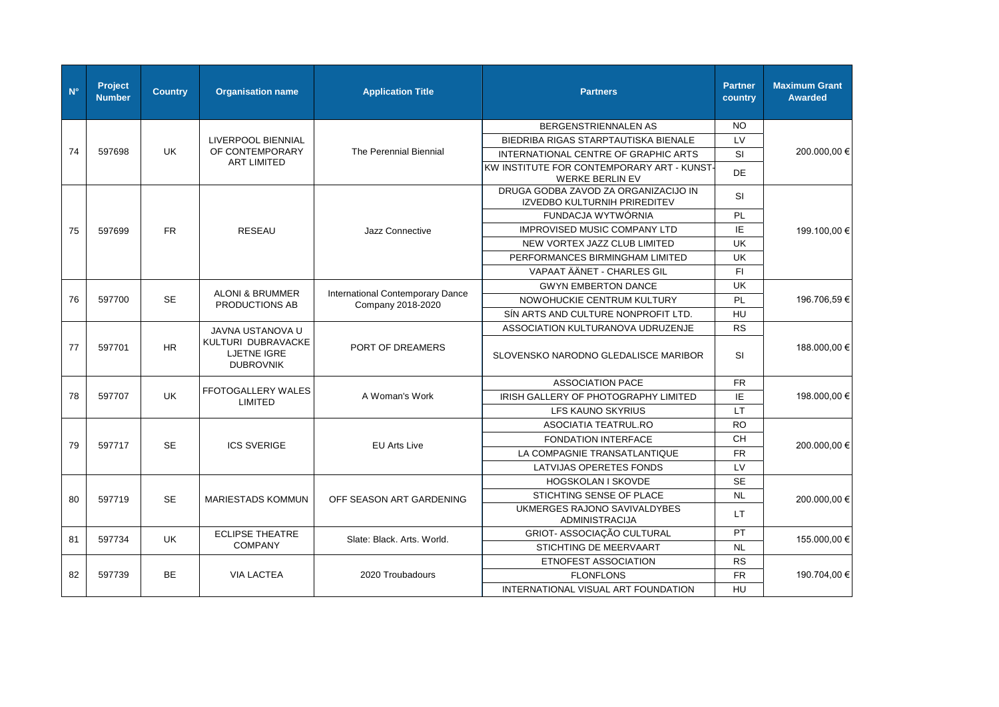| $N^{\circ}$ | Project<br><b>Number</b> | <b>Country</b> | <b>Organisation name</b>                                     | <b>Application Title</b>                              | <b>Partners</b>                                                      | <b>Partner</b><br>country                   | <b>Maximum Grant</b><br><b>Awarded</b> |                                      |    |              |
|-------------|--------------------------|----------------|--------------------------------------------------------------|-------------------------------------------------------|----------------------------------------------------------------------|---------------------------------------------|----------------------------------------|--------------------------------------|----|--------------|
|             |                          |                |                                                              |                                                       | <b>BERGENSTRIENNALEN AS</b>                                          | <b>NO</b>                                   |                                        |                                      |    |              |
|             |                          |                | LIVERPOOL BIENNIAL                                           |                                                       | BIEDRIBA RIGAS STARPTAUTISKA BIENALE                                 | LV                                          |                                        |                                      |    |              |
| 74          | 597698                   | <b>UK</b>      | OF CONTEMPORARY                                              | The Perennial Biennial                                | INTERNATIONAL CENTRE OF GRAPHIC ARTS                                 | <b>SI</b>                                   | 200.000,00 €                           |                                      |    |              |
|             |                          |                | <b>ART LIMITED</b>                                           |                                                       | KW INSTITUTE FOR CONTEMPORARY ART - KUNST-<br><b>WERKE BERLIN EV</b> | DE                                          |                                        |                                      |    |              |
|             |                          |                |                                                              |                                                       | DRUGA GODBA ZAVOD ZA ORGANIZACIJO IN<br>IZVEDBO KULTURNIH PRIREDITEV | <b>SI</b>                                   |                                        |                                      |    |              |
|             |                          |                |                                                              |                                                       | FUNDACJA WYTWÓRNIA                                                   | <b>PL</b>                                   |                                        |                                      |    |              |
| 75          | 597699                   | <b>FR</b>      | <b>RESEAU</b>                                                | Jazz Connective                                       | <b>IMPROVISED MUSIC COMPANY LTD</b>                                  | IE                                          | 199.100,00 €                           |                                      |    |              |
|             |                          |                |                                                              |                                                       | NEW VORTEX JAZZ CLUB LIMITED                                         | UK                                          |                                        |                                      |    |              |
|             |                          |                |                                                              |                                                       | PERFORMANCES BIRMINGHAM LIMITED                                      | UK                                          |                                        |                                      |    |              |
|             |                          |                |                                                              |                                                       | VAPAAT ÄÄNET - CHARLES GIL                                           | F1                                          |                                        |                                      |    |              |
|             |                          |                |                                                              |                                                       | <b>GWYN EMBERTON DANCE</b>                                           | UK                                          |                                        |                                      |    |              |
| 76          | 597700                   | <b>SE</b>      | <b>ALONI &amp; BRUMMER</b><br>PRODUCTIONS AB                 | International Contemporary Dance<br>Company 2018-2020 | NOWOHUCKIE CENTRUM KULTURY                                           | PL                                          | 196.706,59 €                           |                                      |    |              |
|             |                          |                |                                                              |                                                       | SÍN ARTS AND CULTURE NONPROFIT LTD.                                  | HU                                          |                                        |                                      |    |              |
|             |                          |                | JAVNA USTANOVA U                                             |                                                       | ASSOCIATION KULTURANOVA UDRUZENJE                                    | <b>RS</b>                                   |                                        |                                      |    |              |
| 77          | 597701                   | <b>HR</b>      | KULTURI DUBRAVACKE<br><b>LJETNE IGRE</b><br><b>DUBROVNIK</b> | PORT OF DREAMERS                                      | SLOVENSKO NARODNO GLEDALISCE MARIBOR                                 | SI                                          | 188.000,00 €                           |                                      |    |              |
|             |                          |                |                                                              |                                                       | <b>ASSOCIATION PACE</b>                                              | <b>FR</b>                                   |                                        |                                      |    |              |
| 78          | 597707                   | <b>UK</b>      |                                                              |                                                       |                                                                      | <b>FFOTOGALLERY WALES</b><br><b>LIMITED</b> | A Woman's Work                         | IRISH GALLERY OF PHOTOGRAPHY LIMITED | IE | 198.000,00 € |
|             |                          |                |                                                              |                                                       | <b>LFS KAUNO SKYRIUS</b>                                             | <b>LT</b>                                   |                                        |                                      |    |              |
|             |                          |                |                                                              |                                                       | <b>ASOCIATIA TEATRUL.RO</b>                                          | <b>RO</b>                                   |                                        |                                      |    |              |
|             |                          | <b>SE</b>      |                                                              |                                                       | <b>FONDATION INTERFACE</b>                                           | <b>CH</b>                                   |                                        |                                      |    |              |
| 79          | 597717                   |                | <b>ICS SVERIGE</b>                                           | <b>EU Arts Live</b>                                   | LA COMPAGNIE TRANSATLANTIQUE                                         | ${\sf FR}$                                  | 200.000,00 €                           |                                      |    |              |
|             |                          |                |                                                              |                                                       | LATVIJAS OPERETES FONDS                                              | LV                                          |                                        |                                      |    |              |
|             |                          |                |                                                              |                                                       | HOGSKOLAN I SKOVDE                                                   | <b>SE</b>                                   |                                        |                                      |    |              |
| 80          | 597719                   | <b>SE</b>      | <b>MARIESTADS KOMMUN</b>                                     | OFF SEASON ART GARDENING                              | STICHTING SENSE OF PLACE                                             | <b>NL</b>                                   | 200.000,00 €                           |                                      |    |              |
|             |                          |                |                                                              |                                                       | UKMERGES RAJONO SAVIVALDYBES<br><b>ADMINISTRACIJA</b>                | LT                                          |                                        |                                      |    |              |
| 81          | 597734                   | <b>UK</b>      | <b>ECLIPSE THEATRE</b>                                       | Slate: Black. Arts. World.                            | GRIOT- ASSOCIAÇÃO CULTURAL                                           | PT                                          | 155.000,00 €                           |                                      |    |              |
|             |                          |                | <b>COMPANY</b>                                               |                                                       | STICHTING DE MEERVAART                                               | <b>NL</b>                                   |                                        |                                      |    |              |
|             |                          |                |                                                              |                                                       | ETNOFEST ASSOCIATION                                                 | <b>RS</b>                                   |                                        |                                      |    |              |
| 82          | 597739                   | <b>BE</b>      | <b>VIA LACTEA</b>                                            | 2020 Troubadours                                      | <b>FLONFLONS</b>                                                     | <b>FR</b>                                   | 190.704,00 €                           |                                      |    |              |
|             |                          |                |                                                              |                                                       | INTERNATIONAL VISUAL ART FOUNDATION                                  | <b>HU</b>                                   |                                        |                                      |    |              |